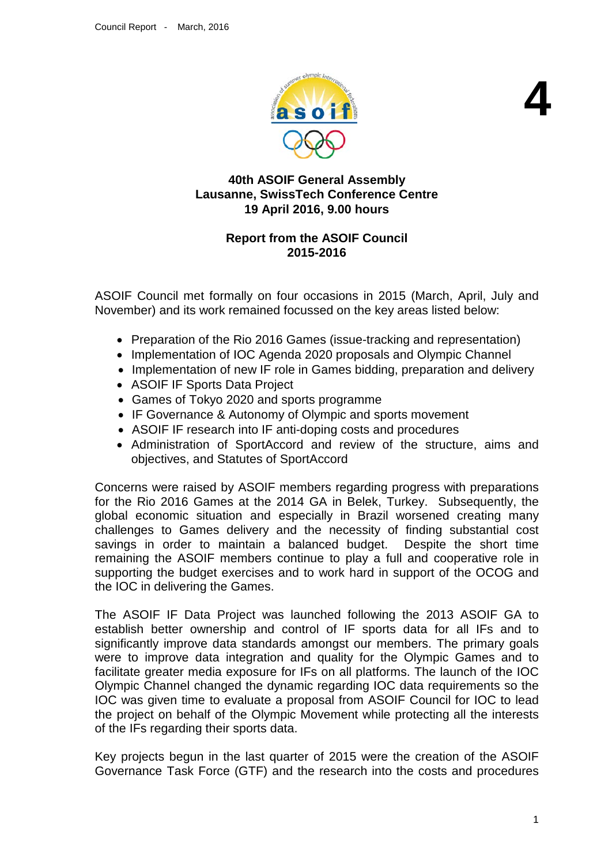

**4**

# **40th ASOIF General Assembly Lausanne, SwissTech Conference Centre 19 April 2016, 9.00 hours**

# **Report from the ASOIF Council 2015-2016**

ASOIF Council met formally on four occasions in 2015 (March, April, July and November) and its work remained focussed on the key areas listed below:

- Preparation of the Rio 2016 Games (issue-tracking and representation)
- Implementation of IOC Agenda 2020 proposals and Olympic Channel
- Implementation of new IF role in Games bidding, preparation and delivery
- ASOIF IF Sports Data Project
- Games of Tokyo 2020 and sports programme
- IF Governance & Autonomy of Olympic and sports movement
- ASOIF IF research into IF anti-doping costs and procedures
- Administration of SportAccord and review of the structure, aims and objectives, and Statutes of SportAccord

Concerns were raised by ASOIF members regarding progress with preparations for the Rio 2016 Games at the 2014 GA in Belek, Turkey. Subsequently, the global economic situation and especially in Brazil worsened creating many challenges to Games delivery and the necessity of finding substantial cost savings in order to maintain a balanced budget. Despite the short time remaining the ASOIF members continue to play a full and cooperative role in supporting the budget exercises and to work hard in support of the OCOG and the IOC in delivering the Games.

The ASOIF IF Data Project was launched following the 2013 ASOIF GA to establish better ownership and control of IF sports data for all IFs and to significantly improve data standards amongst our members. The primary goals were to improve data integration and quality for the Olympic Games and to facilitate greater media exposure for IFs on all platforms. The launch of the IOC Olympic Channel changed the dynamic regarding IOC data requirements so the IOC was given time to evaluate a proposal from ASOIF Council for IOC to lead the project on behalf of the Olympic Movement while protecting all the interests of the IFs regarding their sports data.

Key projects begun in the last quarter of 2015 were the creation of the ASOIF Governance Task Force (GTF) and the research into the costs and procedures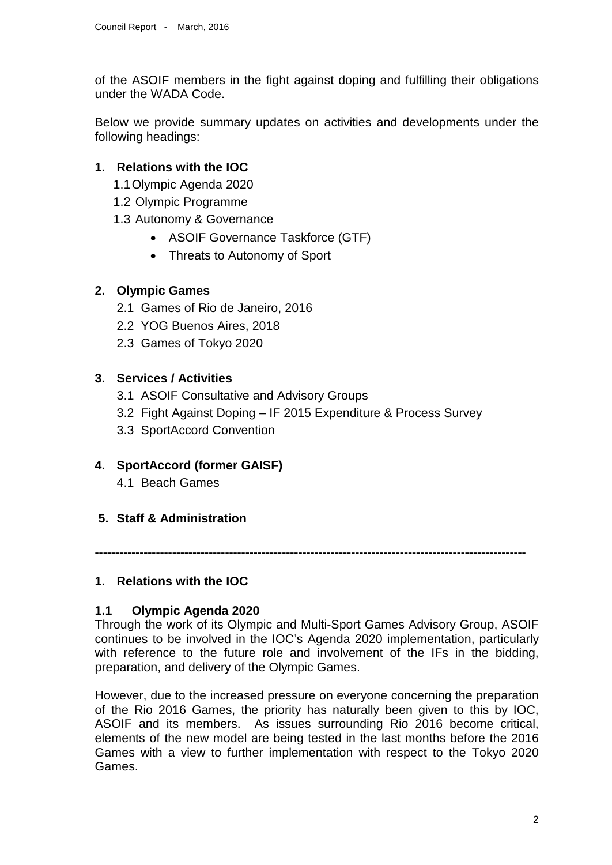of the ASOIF members in the fight against doping and fulfilling their obligations under the WADA Code.

Below we provide summary updates on activities and developments under the following headings:

# **1. Relations with the IOC**

- 1.1Olympic Agenda 2020
- 1.2 Olympic Programme
- 1.3 Autonomy & Governance
	- ASOIF Governance Taskforce (GTF)
	- Threats to Autonomy of Sport

# **2. Olympic Games**

- 2.1 Games of Rio de Janeiro, 2016
- 2.2 YOG Buenos Aires, 2018
- 2.3 Games of Tokyo 2020

# **3. Services / Activities**

- 3.1 ASOIF Consultative and Advisory Groups
- 3.2 Fight Against Doping IF 2015 Expenditure & Process Survey
- 3.3 SportAccord Convention

# **4. SportAccord (former GAISF)**

- 4.1 Beach Games
- **5. Staff & Administration**

**----------------------------------------------------------------------------------------------------------**

# **1. Relations with the IOC**

#### **1.1 Olympic Agenda 2020**

Through the work of its Olympic and Multi-Sport Games Advisory Group, ASOIF continues to be involved in the IOC's Agenda 2020 implementation, particularly with reference to the future role and involvement of the IFs in the bidding, preparation, and delivery of the Olympic Games.

However, due to the increased pressure on everyone concerning the preparation of the Rio 2016 Games, the priority has naturally been given to this by IOC, ASOIF and its members. As issues surrounding Rio 2016 become critical, elements of the new model are being tested in the last months before the 2016 Games with a view to further implementation with respect to the Tokyo 2020 Games.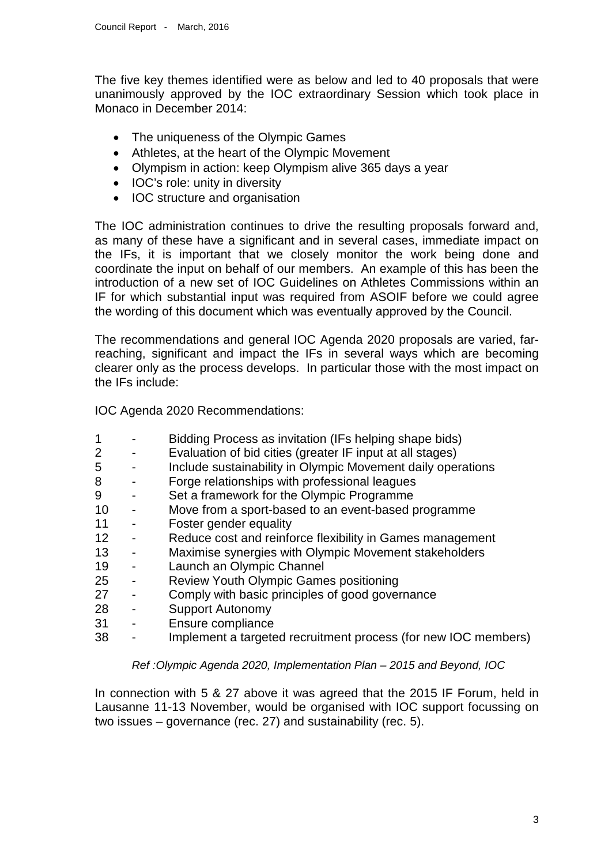The five key themes identified were as below and led to 40 proposals that were unanimously approved by the IOC extraordinary Session which took place in Monaco in December 2014:

- The uniqueness of the Olympic Games
- Athletes, at the heart of the Olympic Movement
- Olympism in action: keep Olympism alive 365 days a year
- IOC's role: unity in diversity
- IOC structure and organisation

The IOC administration continues to drive the resulting proposals forward and, as many of these have a significant and in several cases, immediate impact on the IFs, it is important that we closely monitor the work being done and coordinate the input on behalf of our members. An example of this has been the introduction of a new set of IOC Guidelines on Athletes Commissions within an IF for which substantial input was required from ASOIF before we could agree the wording of this document which was eventually approved by the Council.

The recommendations and general IOC Agenda 2020 proposals are varied, farreaching, significant and impact the IFs in several ways which are becoming clearer only as the process develops. In particular those with the most impact on the IFs include:

IOC Agenda 2020 Recommendations:

- 1 Bidding Process as invitation (IFs helping shape bids)
- 2 Evaluation of bid cities (greater IF input at all stages)
- 5 Include sustainability in Olympic Movement daily operations
- 8 Forge relationships with professional leagues
- 9 Set a framework for the Olympic Programme
- 10 Move from a sport-based to an event-based programme<br>11 Foster gender equality
- Foster gender equality
- 12 Reduce cost and reinforce flexibility in Games management
- 13 Maximise synergies with Olympic Movement stakeholders
- 19 Launch an Olympic Channel<br>25 Review Youth Olympic Game
- Review Youth Olympic Games positioning
- 27 Comply with basic principles of good governance
- 28 Support Autonomy
- 31 Ensure compliance
- 38 Implement a targeted recruitment process (for new IOC members)

#### *Ref :Olympic Agenda 2020, Implementation Plan – 2015 and Beyond, IOC*

In connection with 5 & 27 above it was agreed that the 2015 IF Forum, held in Lausanne 11-13 November, would be organised with IOC support focussing on two issues – governance (rec. 27) and sustainability (rec. 5).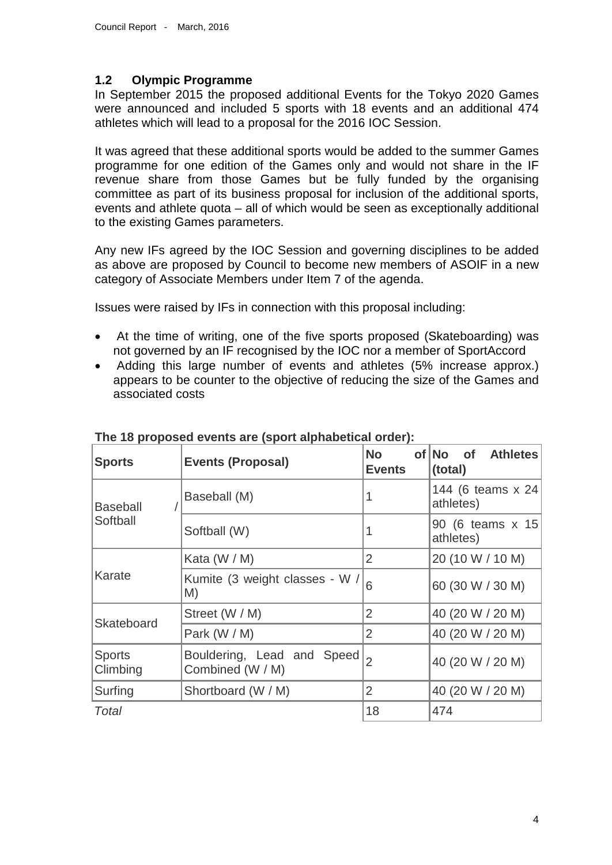#### **1.2 Olympic Programme**

In September 2015 the proposed additional Events for the Tokyo 2020 Games were announced and included 5 sports with 18 events and an additional 474 athletes which will lead to a proposal for the 2016 IOC Session.

It was agreed that these additional sports would be added to the summer Games programme for one edition of the Games only and would not share in the IF revenue share from those Games but be fully funded by the organising committee as part of its business proposal for inclusion of the additional sports, events and athlete quota – all of which would be seen as exceptionally additional to the existing Games parameters.

Any new IFs agreed by the IOC Session and governing disciplines to be added as above are proposed by Council to become new members of ASOIF in a new category of Associate Members under Item 7 of the agenda.

Issues were raised by IFs in connection with this proposal including:

- At the time of writing, one of the five sports proposed (Skateboarding) was not governed by an IF recognised by the IOC nor a member of SportAccord
- Adding this large number of events and athletes (5% increase approx.) appears to be counter to the objective of reducing the size of the Games and associated costs

| <b>Sports</b>               | <b>Events (Proposal)</b>                       | <b>No</b><br><b>Events</b> | <b>of</b><br>of No<br><b>Athletes</b><br>(total) |
|-----------------------------|------------------------------------------------|----------------------------|--------------------------------------------------|
| <b>Baseball</b><br>Softball | Baseball (M)                                   | 1                          | 144 (6 teams x 24<br>athletes)                   |
|                             | Softball (W)                                   | 1                          | 90 (6 teams x 15<br>athletes)                    |
| Karate                      | Kata $(W/M)$                                   | 2                          | 20 (10 W / 10 M)                                 |
|                             | Kumite (3 weight classes - W /<br>M)           | 6                          | 60 (30 W / 30 M)                                 |
| Skateboard                  | Street (W / M)                                 | $\overline{2}$             | 40 (20 W / 20 M)                                 |
|                             | Park (W / M)                                   | $\overline{2}$             | 40 (20 W / 20 M)                                 |
| <b>Sports</b><br>Climbing   | Bouldering, Lead and Speed<br>Combined (W / M) | $\overline{2}$             | 40 (20 W / 20 M)                                 |
| Surfing                     | Shortboard (W / M)                             | $\overline{2}$             | 40 (20 W / 20 M)                                 |
| Total                       |                                                | 18                         | 474                                              |

**The 18 proposed events are (sport alphabetical order):**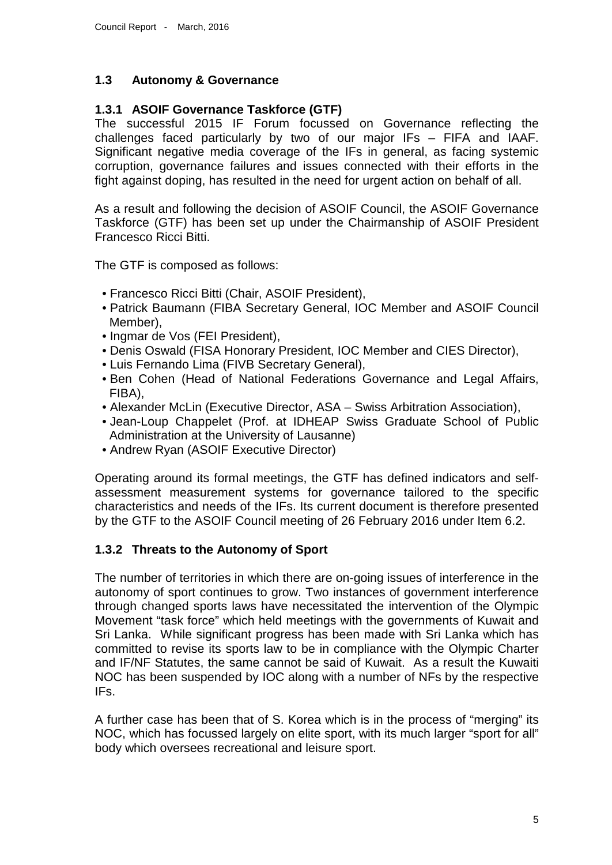# **1.3 Autonomy & Governance**

### **1.3.1 ASOIF Governance Taskforce (GTF)**

The successful 2015 IF Forum focussed on Governance reflecting the challenges faced particularly by two of our major IFs – FIFA and IAAF. Significant negative media coverage of the IFs in general, as facing systemic corruption, governance failures and issues connected with their efforts in the fight against doping, has resulted in the need for urgent action on behalf of all.

As a result and following the decision of ASOIF Council, the ASOIF Governance Taskforce (GTF) has been set up under the Chairmanship of ASOIF President Francesco Ricci Bitti.

The GTF is composed as follows:

- Francesco Ricci Bitti (Chair, ASOIF President),
- Patrick Baumann (FIBA Secretary General, IOC Member and ASOIF Council Member),
- Ingmar de Vos (FEI President),
- Denis Oswald (FISA Honorary President, IOC Member and CIES Director),
- Luis Fernando Lima (FIVB Secretary General),
- Ben Cohen (Head of National Federations Governance and Legal Affairs, FIBA),
- Alexander McLin (Executive Director, ASA Swiss Arbitration Association),
- Jean-Loup Chappelet (Prof. at IDHEAP Swiss Graduate School of Public Administration at the University of Lausanne)
- Andrew Ryan (ASOIF Executive Director)

Operating around its formal meetings, the GTF has defined indicators and selfassessment measurement systems for governance tailored to the specific characteristics and needs of the IFs. Its current document is therefore presented by the GTF to the ASOIF Council meeting of 26 February 2016 under Item 6.2.

#### **1.3.2 Threats to the Autonomy of Sport**

The number of territories in which there are on-going issues of interference in the autonomy of sport continues to grow. Two instances of government interference through changed sports laws have necessitated the intervention of the Olympic Movement "task force" which held meetings with the governments of Kuwait and Sri Lanka. While significant progress has been made with Sri Lanka which has committed to revise its sports law to be in compliance with the Olympic Charter and IF/NF Statutes, the same cannot be said of Kuwait. As a result the Kuwaiti NOC has been suspended by IOC along with a number of NFs by the respective IFs.

A further case has been that of S. Korea which is in the process of "merging" its NOC, which has focussed largely on elite sport, with its much larger "sport for all" body which oversees recreational and leisure sport.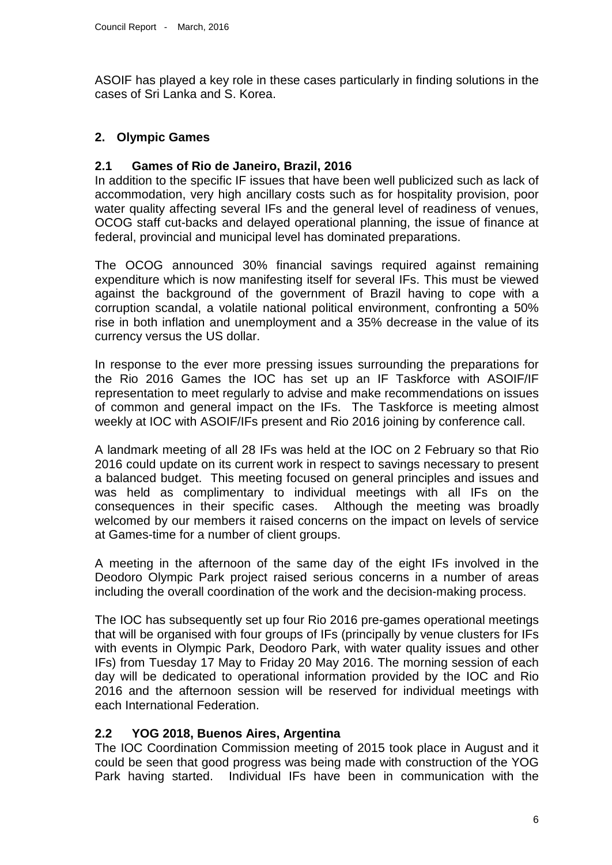ASOIF has played a key role in these cases particularly in finding solutions in the cases of Sri Lanka and S. Korea.

# **2. Olympic Games**

### **2.1 Games of Rio de Janeiro, Brazil, 2016**

In addition to the specific IF issues that have been well publicized such as lack of accommodation, very high ancillary costs such as for hospitality provision, poor water quality affecting several IFs and the general level of readiness of venues, OCOG staff cut-backs and delayed operational planning, the issue of finance at federal, provincial and municipal level has dominated preparations.

The OCOG announced 30% financial savings required against remaining expenditure which is now manifesting itself for several IFs. This must be viewed against the background of the government of Brazil having to cope with a corruption scandal, a volatile national political environment, confronting a 50% rise in both inflation and unemployment and a 35% decrease in the value of its currency versus the US dollar.

In response to the ever more pressing issues surrounding the preparations for the Rio 2016 Games the IOC has set up an IF Taskforce with ASOIF/IF representation to meet regularly to advise and make recommendations on issues of common and general impact on the IFs. The Taskforce is meeting almost weekly at IOC with ASOIF/IFs present and Rio 2016 joining by conference call.

A landmark meeting of all 28 IFs was held at the IOC on 2 February so that Rio 2016 could update on its current work in respect to savings necessary to present a balanced budget. This meeting focused on general principles and issues and was held as complimentary to individual meetings with all IFs on the consequences in their specific cases. Although the meeting was broadly welcomed by our members it raised concerns on the impact on levels of service at Games-time for a number of client groups.

A meeting in the afternoon of the same day of the eight IFs involved in the Deodoro Olympic Park project raised serious concerns in a number of areas including the overall coordination of the work and the decision-making process.

The IOC has subsequently set up four Rio 2016 pre-games operational meetings that will be organised with four groups of IFs (principally by venue clusters for IFs with events in Olympic Park, Deodoro Park, with water quality issues and other IFs) from Tuesday 17 May to Friday 20 May 2016. The morning session of each day will be dedicated to operational information provided by the IOC and Rio 2016 and the afternoon session will be reserved for individual meetings with each International Federation.

#### **2.2 YOG 2018, Buenos Aires, Argentina**

The IOC Coordination Commission meeting of 2015 took place in August and it could be seen that good progress was being made with construction of the YOG Park having started. Individual IFs have been in communication with the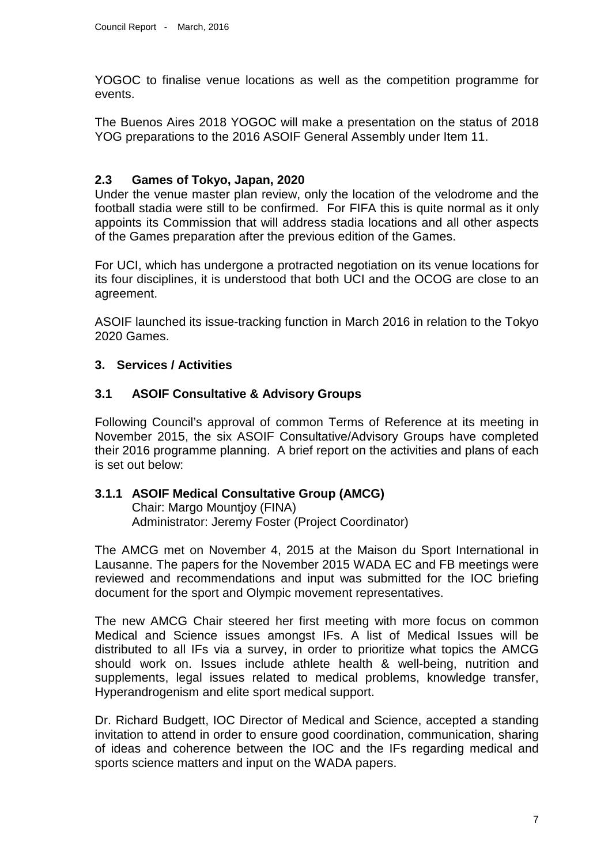YOGOC to finalise venue locations as well as the competition programme for events.

The Buenos Aires 2018 YOGOC will make a presentation on the status of 2018 YOG preparations to the 2016 ASOIF General Assembly under Item 11.

### **2.3 Games of Tokyo, Japan, 2020**

Under the venue master plan review, only the location of the velodrome and the football stadia were still to be confirmed. For FIFA this is quite normal as it only appoints its Commission that will address stadia locations and all other aspects of the Games preparation after the previous edition of the Games.

For UCI, which has undergone a protracted negotiation on its venue locations for its four disciplines, it is understood that both UCI and the OCOG are close to an agreement.

ASOIF launched its issue-tracking function in March 2016 in relation to the Tokyo 2020 Games.

# **3. Services / Activities**

# **3.1 ASOIF Consultative & Advisory Groups**

Following Council's approval of common Terms of Reference at its meeting in November 2015, the six ASOIF Consultative/Advisory Groups have completed their 2016 programme planning. A brief report on the activities and plans of each is set out below:

#### **3.1.1 ASOIF Medical Consultative Group (AMCG)**

Chair: Margo Mountjoy (FINA) Administrator: Jeremy Foster (Project Coordinator)

The AMCG met on November 4, 2015 at the Maison du Sport International in Lausanne. The papers for the November 2015 WADA EC and FB meetings were reviewed and recommendations and input was submitted for the IOC briefing document for the sport and Olympic movement representatives.

The new AMCG Chair steered her first meeting with more focus on common Medical and Science issues amongst IFs. A list of Medical Issues will be distributed to all IFs via a survey, in order to prioritize what topics the AMCG should work on. Issues include athlete health & well-being, nutrition and supplements, legal issues related to medical problems, knowledge transfer, Hyperandrogenism and elite sport medical support.

Dr. Richard Budgett, IOC Director of Medical and Science, accepted a standing invitation to attend in order to ensure good coordination, communication, sharing of ideas and coherence between the IOC and the IFs regarding medical and sports science matters and input on the WADA papers.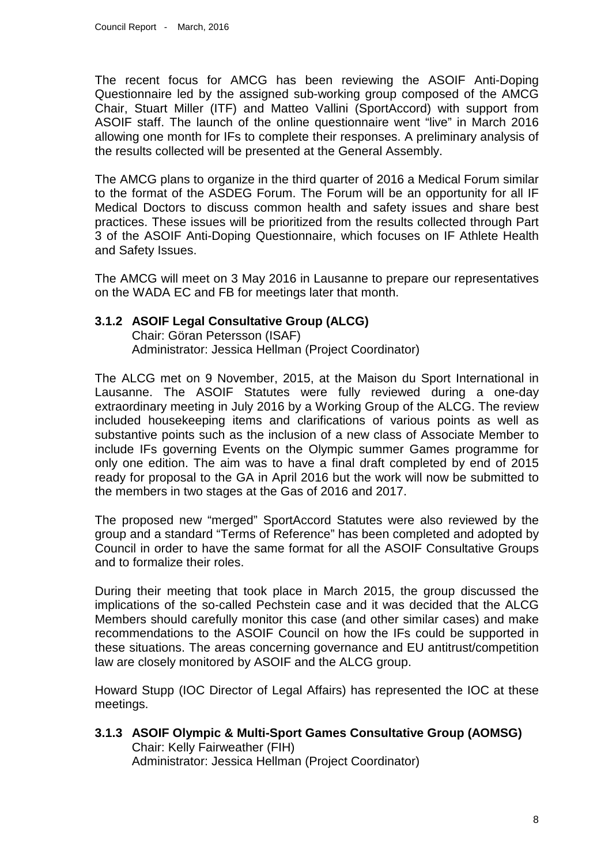The recent focus for AMCG has been reviewing the ASOIF Anti-Doping Questionnaire led by the assigned sub-working group composed of the AMCG Chair, Stuart Miller (ITF) and Matteo Vallini (SportAccord) with support from ASOIF staff. The launch of the online questionnaire went "live" in March 2016 allowing one month for IFs to complete their responses. A preliminary analysis of the results collected will be presented at the General Assembly.

The AMCG plans to organize in the third quarter of 2016 a Medical Forum similar to the format of the ASDEG Forum. The Forum will be an opportunity for all IF Medical Doctors to discuss common health and safety issues and share best practices. These issues will be prioritized from the results collected through Part 3 of the ASOIF Anti-Doping Questionnaire, which focuses on IF Athlete Health and Safety Issues.

The AMCG will meet on 3 May 2016 in Lausanne to prepare our representatives on the WADA EC and FB for meetings later that month.

#### **3.1.2 ASOIF Legal Consultative Group (ALCG)**

Chair: Göran Petersson (ISAF) Administrator: Jessica Hellman (Project Coordinator)

The ALCG met on 9 November, 2015, at the Maison du Sport International in Lausanne. The ASOIF Statutes were fully reviewed during a one-day extraordinary meeting in July 2016 by a Working Group of the ALCG. The review included housekeeping items and clarifications of various points as well as substantive points such as the inclusion of a new class of Associate Member to include IFs governing Events on the Olympic summer Games programme for only one edition. The aim was to have a final draft completed by end of 2015 ready for proposal to the GA in April 2016 but the work will now be submitted to the members in two stages at the Gas of 2016 and 2017.

The proposed new "merged" SportAccord Statutes were also reviewed by the group and a standard "Terms of Reference" has been completed and adopted by Council in order to have the same format for all the ASOIF Consultative Groups and to formalize their roles.

During their meeting that took place in March 2015, the group discussed the implications of the so-called Pechstein case and it was decided that the ALCG Members should carefully monitor this case (and other similar cases) and make recommendations to the ASOIF Council on how the IFs could be supported in these situations. The areas concerning governance and EU antitrust/competition law are closely monitored by ASOIF and the ALCG group.

Howard Stupp (IOC Director of Legal Affairs) has represented the IOC at these meetings.

**3.1.3 ASOIF Olympic & Multi-Sport Games Consultative Group (AOMSG)** Chair: Kelly Fairweather (FIH) Administrator: Jessica Hellman (Project Coordinator)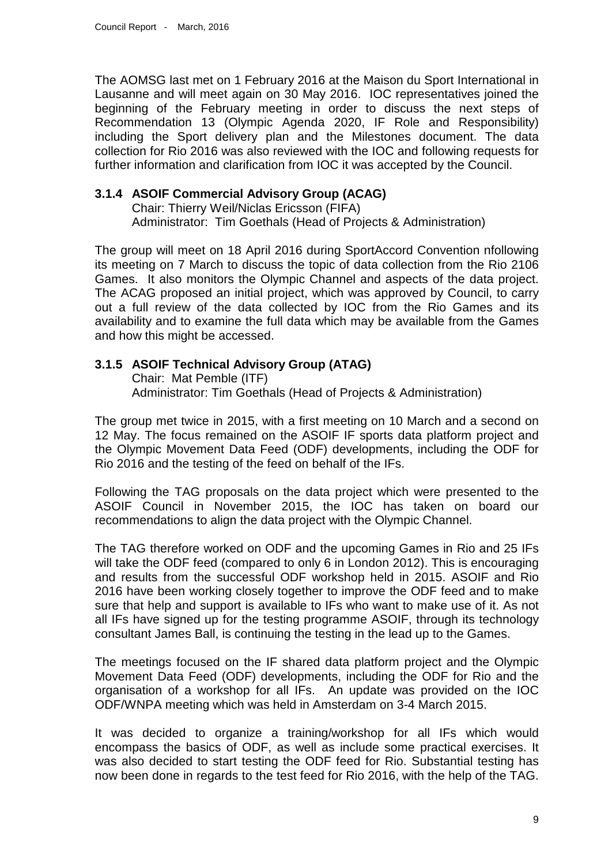The AOMSG last met on 1 February 2016 at the Maison du Sport International in Lausanne and will meet again on 30 May 2016. IOC representatives joined the beginning of the February meeting in order to discuss the next steps of Recommendation 13 (Olympic Agenda 2020, IF Role and Responsibility) including the Sport delivery plan and the Milestones document. The data collection for Rio 2016 was also reviewed with the IOC and following requests for further information and clarification from IOC it was accepted by the Council.

# **3.1.4 ASOIF Commercial Advisory Group (ACAG)**

Chair: Thierry Weil/Niclas Ericsson (FIFA) Administrator: Tim Goethals (Head of Projects & Administration)

The group will meet on 18 April 2016 during SportAccord Convention nfollowing its meeting on 7 March to discuss the topic of data collection from the Rio 2106 Games. It also monitors the Olympic Channel and aspects of the data project. The ACAG proposed an initial project, which was approved by Council, to carry out a full review of the data collected by IOC from the Rio Games and its availability and to examine the full data which may be available from the Games and how this might be accessed.

# **3.1.5 ASOIF Technical Advisory Group (ATAG)**

Chair: Mat Pemble (ITF) Administrator: Tim Goethals (Head of Projects & Administration)

The group met twice in 2015, with a first meeting on 10 March and a second on 12 May. The focus remained on the ASOIF IF sports data platform project and the Olympic Movement Data Feed (ODF) developments, including the ODF for Rio 2016 and the testing of the feed on behalf of the IFs.

Following the TAG proposals on the data project which were presented to the ASOIF Council in November 2015, the IOC has taken on board our recommendations to align the data project with the Olympic Channel.

The TAG therefore worked on ODF and the upcoming Games in Rio and 25 IFs will take the ODF feed (compared to only 6 in London 2012). This is encouraging and results from the successful ODF workshop held in 2015. ASOIF and Rio 2016 have been working closely together to improve the ODF feed and to make sure that help and support is available to IFs who want to make use of it. As not all IFs have signed up for the testing programme ASOIF, through its technology consultant James Ball, is continuing the testing in the lead up to the Games.

The meetings focused on the IF shared data platform project and the Olympic Movement Data Feed (ODF) developments, including the ODF for Rio and the organisation of a workshop for all IFs. An update was provided on the IOC ODF/WNPA meeting which was held in Amsterdam on 3-4 March 2015.

It was decided to organize a training/workshop for all IFs which would encompass the basics of ODF, as well as include some practical exercises. It was also decided to start testing the ODF feed for Rio. Substantial testing has now been done in regards to the test feed for Rio 2016, with the help of the TAG.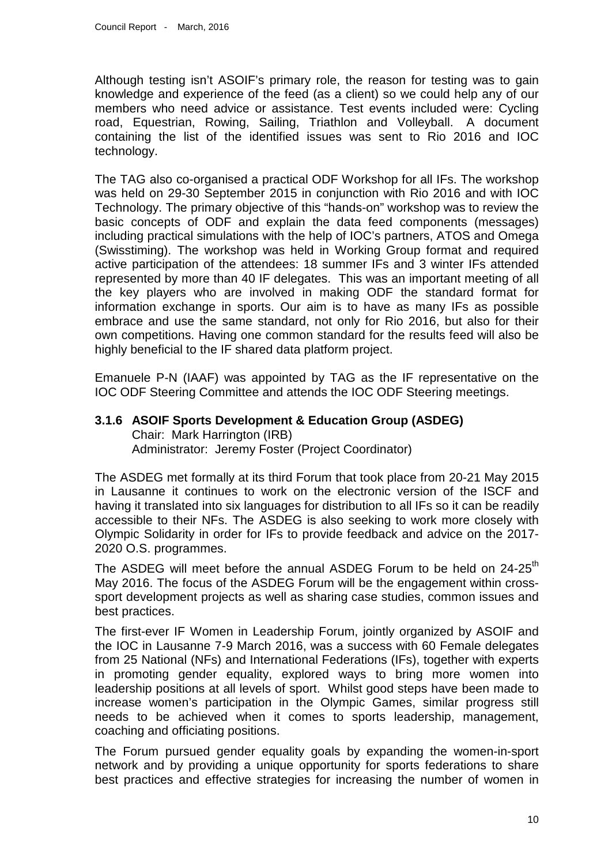Although testing isn't ASOIF's primary role, the reason for testing was to gain knowledge and experience of the feed (as a client) so we could help any of our members who need advice or assistance. Test events included were: Cycling road, Equestrian, Rowing, Sailing, Triathlon and Volleyball. A document containing the list of the identified issues was sent to Rio 2016 and IOC technology.

The TAG also co-organised a practical ODF Workshop for all IFs. The workshop was held on 29-30 September 2015 in conjunction with Rio 2016 and with IOC Technology. The primary objective of this "hands-on" workshop was to review the basic concepts of ODF and explain the data feed components (messages) including practical simulations with the help of IOC's partners, ATOS and Omega (Swisstiming). The workshop was held in Working Group format and required active participation of the attendees: 18 summer IFs and 3 winter IFs attended represented by more than 40 IF delegates. This was an important meeting of all the key players who are involved in making ODF the standard format for information exchange in sports. Our aim is to have as many IFs as possible embrace and use the same standard, not only for Rio 2016, but also for their own competitions. Having one common standard for the results feed will also be highly beneficial to the IF shared data platform project.

Emanuele P-N (IAAF) was appointed by TAG as the IF representative on the IOC ODF Steering Committee and attends the IOC ODF Steering meetings.

#### **3.1.6 ASOIF Sports Development & Education Group (ASDEG)** Chair: Mark Harrington (IRB) Administrator: Jeremy Foster (Project Coordinator)

The ASDEG met formally at its third Forum that took place from 20-21 May 2015 in Lausanne it continues to work on the electronic version of the ISCF and having it translated into six languages for distribution to all IFs so it can be readily accessible to their NFs. The ASDEG is also seeking to work more closely with Olympic Solidarity in order for IFs to provide feedback and advice on the 2017- 2020 O.S. programmes.

The ASDEG will meet before the annual ASDEG Forum to be held on 24-25<sup>th</sup> May 2016. The focus of the ASDEG Forum will be the engagement within crosssport development projects as well as sharing case studies, common issues and best practices.

The first-ever IF Women in Leadership Forum, jointly organized by ASOIF and the IOC in Lausanne 7-9 March 2016, was a success with 60 Female delegates from 25 National (NFs) and International Federations (IFs), together with experts in promoting gender equality, explored ways to bring more women into leadership positions at all levels of sport. Whilst good steps have been made to increase women's participation in the Olympic Games, similar progress still needs to be achieved when it comes to sports leadership, management, coaching and officiating positions.

The Forum pursued gender equality goals by expanding the women-in-sport network and by providing a unique opportunity for sports federations to share best practices and effective strategies for increasing the number of women in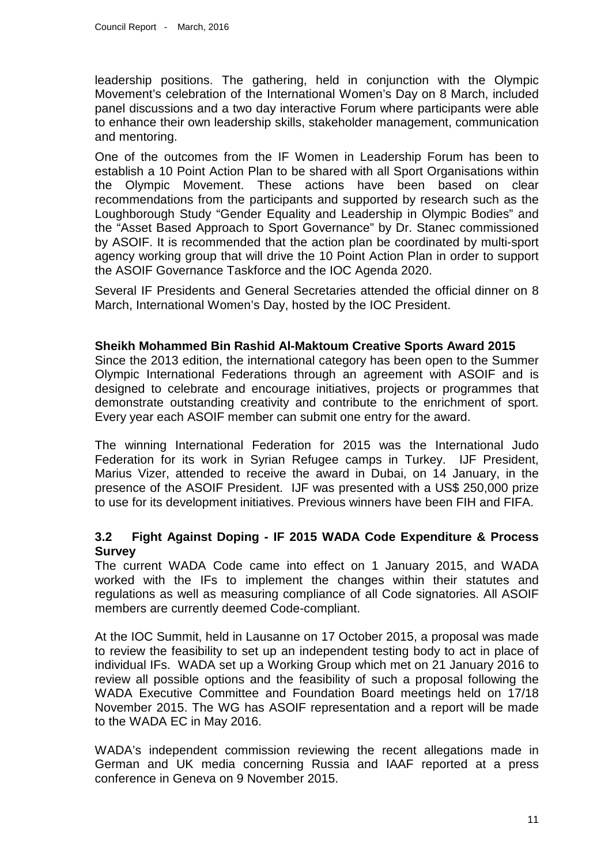leadership positions. The gathering, held in conjunction with the Olympic Movement's celebration of the International Women's Day on 8 March, included panel discussions and a two day interactive Forum where participants were able to enhance their own leadership skills, stakeholder management, communication and mentoring.

One of the outcomes from the IF Women in Leadership Forum has been to establish a 10 Point Action Plan to be shared with all Sport Organisations within the Olympic Movement. These actions have been based on clear recommendations from the participants and supported by research such as the Loughborough Study "Gender Equality and Leadership in Olympic Bodies" and the "Asset Based Approach to Sport Governance" by Dr. Stanec commissioned by ASOIF. It is recommended that the action plan be coordinated by multi-sport agency working group that will drive the 10 Point Action Plan in order to support the ASOIF Governance Taskforce and the IOC Agenda 2020.

Several IF Presidents and General Secretaries attended the official dinner on 8 March, International Women's Day, hosted by the IOC President.

#### **Sheikh Mohammed Bin Rashid Al-Maktoum Creative Sports Award 2015**

Since the 2013 edition, the international category has been open to the Summer Olympic International Federations through an agreement with ASOIF and is designed to celebrate and encourage initiatives, projects or programmes that demonstrate outstanding creativity and contribute to the enrichment of sport. Every year each ASOIF member can submit one entry for the award.

The winning International Federation for 2015 was the International Judo Federation for its work in Syrian Refugee camps in Turkey. IJF President, Marius Vizer, attended to receive the award in Dubai, on 14 January, in the presence of the ASOIF President. IJF was presented with a US\$ 250,000 prize to use for its development initiatives. Previous winners have been FIH and FIFA.

#### **3.2 Fight Against Doping - IF 2015 WADA Code Expenditure & Process Survey**

The current WADA Code came into effect on 1 January 2015, and WADA worked with the IFs to implement the changes within their statutes and regulations as well as measuring compliance of all Code signatories. All ASOIF members are currently deemed Code-compliant.

At the IOC Summit, held in Lausanne on 17 October 2015, a proposal was made to review the feasibility to set up an independent testing body to act in place of individual IFs. WADA set up a Working Group which met on 21 January 2016 to review all possible options and the feasibility of such a proposal following the WADA Executive Committee and Foundation Board meetings held on 17/18 November 2015. The WG has ASOIF representation and a report will be made to the WADA EC in May 2016.

WADA's independent commission reviewing the recent allegations made in German and UK media concerning Russia and IAAF reported at a press conference in Geneva on 9 November 2015.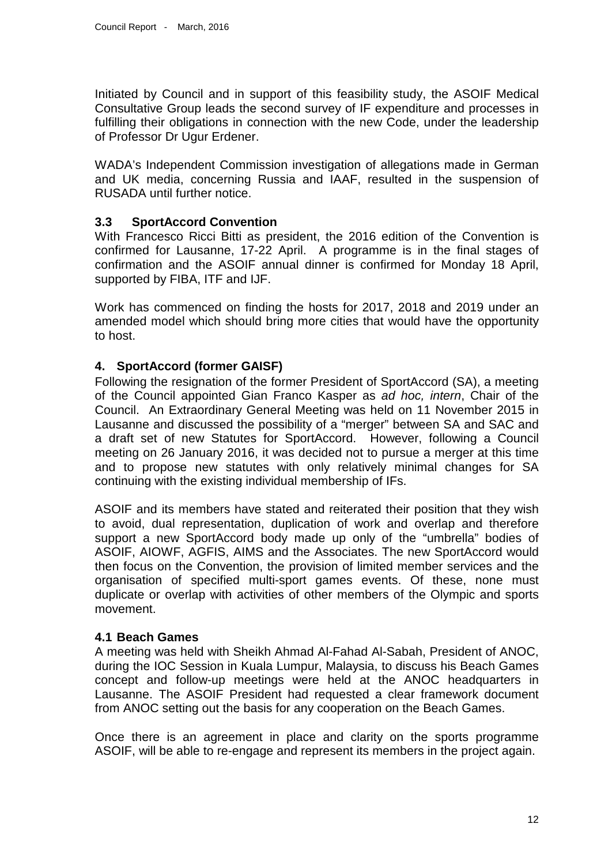Initiated by Council and in support of this feasibility study, the ASOIF Medical Consultative Group leads the second survey of IF expenditure and processes in fulfilling their obligations in connection with the new Code, under the leadership of Professor Dr Ugur Erdener.

WADA's Independent Commission investigation of allegations made in German and UK media, concerning Russia and IAAF, resulted in the suspension of RUSADA until further notice.

### **3.3 SportAccord Convention**

With Francesco Ricci Bitti as president, the 2016 edition of the Convention is confirmed for Lausanne, 17-22 April. A programme is in the final stages of confirmation and the ASOIF annual dinner is confirmed for Monday 18 April, supported by FIBA, ITF and IJF.

Work has commenced on finding the hosts for 2017, 2018 and 2019 under an amended model which should bring more cities that would have the opportunity to host.

# **4. SportAccord (former GAISF)**

Following the resignation of the former President of SportAccord (SA), a meeting of the Council appointed Gian Franco Kasper as *ad hoc, intern*, Chair of the Council. An Extraordinary General Meeting was held on 11 November 2015 in Lausanne and discussed the possibility of a "merger" between SA and SAC and a draft set of new Statutes for SportAccord. However, following a Council meeting on 26 January 2016, it was decided not to pursue a merger at this time and to propose new statutes with only relatively minimal changes for SA continuing with the existing individual membership of IFs.

ASOIF and its members have stated and reiterated their position that they wish to avoid, dual representation, duplication of work and overlap and therefore support a new SportAccord body made up only of the "umbrella" bodies of ASOIF, AIOWF, AGFIS, AIMS and the Associates. The new SportAccord would then focus on the Convention, the provision of limited member services and the organisation of specified multi-sport games events. Of these, none must duplicate or overlap with activities of other members of the Olympic and sports movement.

#### **4.1 Beach Games**

A meeting was held with Sheikh Ahmad Al-Fahad Al-Sabah, President of ANOC, during the IOC Session in Kuala Lumpur, Malaysia, to discuss his Beach Games concept and follow-up meetings were held at the ANOC headquarters in Lausanne. The ASOIF President had requested a clear framework document from ANOC setting out the basis for any cooperation on the Beach Games.

Once there is an agreement in place and clarity on the sports programme ASOIF, will be able to re-engage and represent its members in the project again.